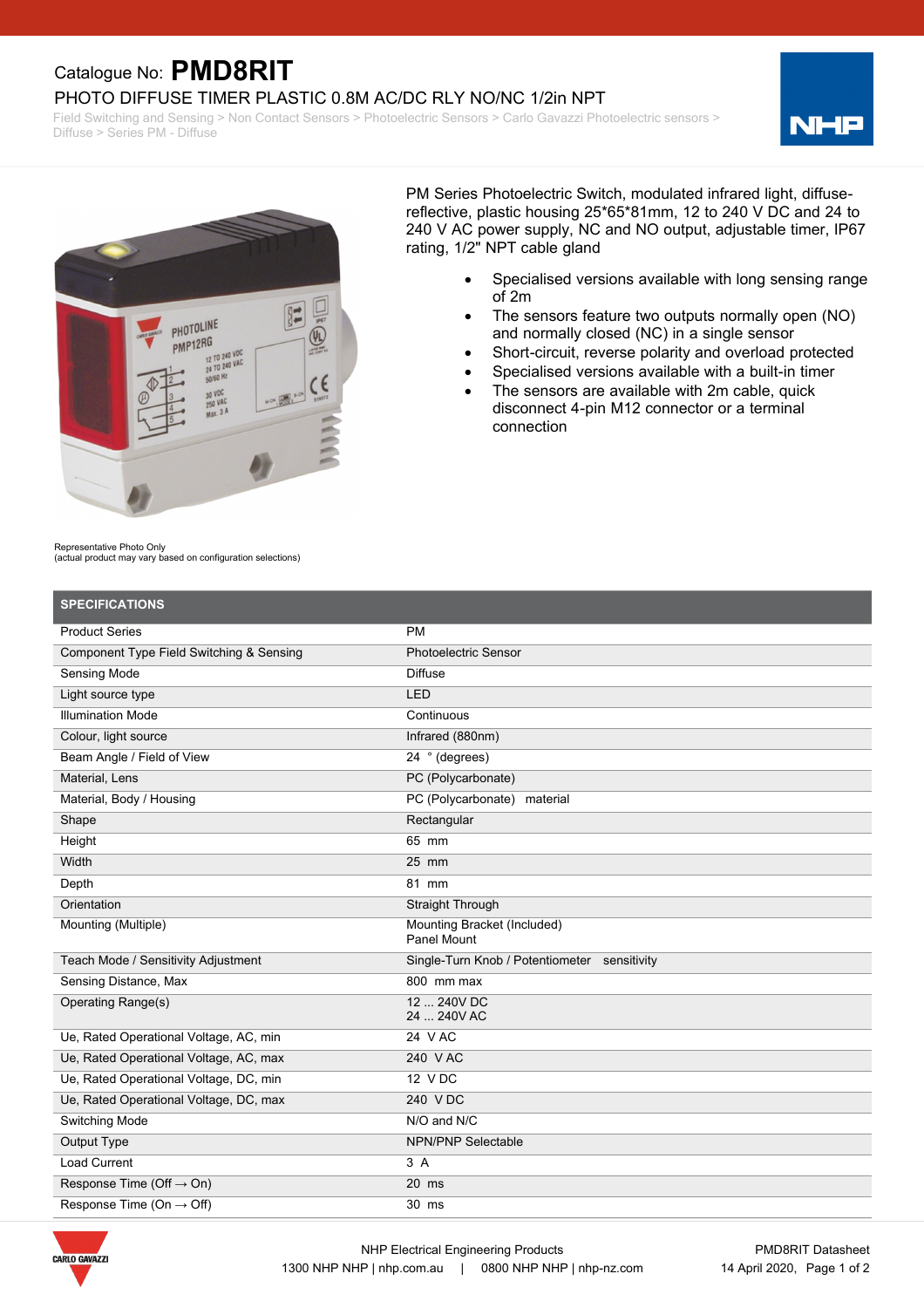## Catalogue No: **PMD8RIT**

PHOTO DIFFUSE TIMER PLASTIC 0.8M AC/DC RLY NO/NC 1/2in NPT

Field Switching and Sensing > Non Contact Sensors > Photoelectric Sensors > Carlo Gavazzi Photoelectric sensors > Diffuse > Series PM - Diffuse





PM Series Photoelectric Switch, modulated infrared light, diffusereflective, plastic housing 25\*65\*81mm, 12 to 240 V DC and 24 to 240 V AC power supply, NC and NO output, adjustable timer, IP67 rating, 1/2" NPT cable gland

- · Specialised versions available with long sensing range of 2m
- · The sensors feature two outputs normally open (NO) and normally closed (NC) in a single sensor
- Short-circuit, reverse polarity and overload protected
- Specialised versions available with a built-in timer
- · The sensors are available with 2m cable, quick disconnect 4-pin M12 connector or a terminal connection

Representative Photo Only

(actual product may vary based on configuration selections)

| <b>SPECIFICATIONS</b>                    |                                                   |
|------------------------------------------|---------------------------------------------------|
| <b>Product Series</b>                    | <b>PM</b>                                         |
| Component Type Field Switching & Sensing | <b>Photoelectric Sensor</b>                       |
| Sensing Mode                             | <b>Diffuse</b>                                    |
| Light source type                        | <b>LED</b>                                        |
| <b>Illumination Mode</b>                 | Continuous                                        |
| Colour, light source                     | Infrared (880nm)                                  |
| Beam Angle / Field of View               | 24 ° (degrees)                                    |
| Material, Lens                           | PC (Polycarbonate)                                |
| Material, Body / Housing                 | PC (Polycarbonate) material                       |
| Shape                                    | Rectangular                                       |
| Height                                   | 65 mm                                             |
| Width                                    | $25$ mm                                           |
| Depth                                    | 81 mm                                             |
| Orientation                              | Straight Through                                  |
| Mounting (Multiple)                      | Mounting Bracket (Included)<br><b>Panel Mount</b> |
| Teach Mode / Sensitivity Adjustment      | Single-Turn Knob / Potentiometer sensitivity      |
| Sensing Distance, Max                    | 800 mm max                                        |
| <b>Operating Range(s)</b>                | 12  240V DC<br>24  240V AC                        |
| Ue, Rated Operational Voltage, AC, min   | 24 V AC                                           |
| Ue, Rated Operational Voltage, AC, max   | 240 V AC                                          |
| Ue, Rated Operational Voltage, DC, min   | 12 V DC                                           |
| Ue, Rated Operational Voltage, DC, max   | 240 VDC                                           |
| Switching Mode                           | N/O and N/C                                       |
| <b>Output Type</b>                       | <b>NPN/PNP Selectable</b>                         |
| <b>Load Current</b>                      | 3A                                                |
| Response Time (Off $\rightarrow$ On)     | $20$ ms                                           |
| Response Time (On $\rightarrow$ Off)     | 30 ms                                             |